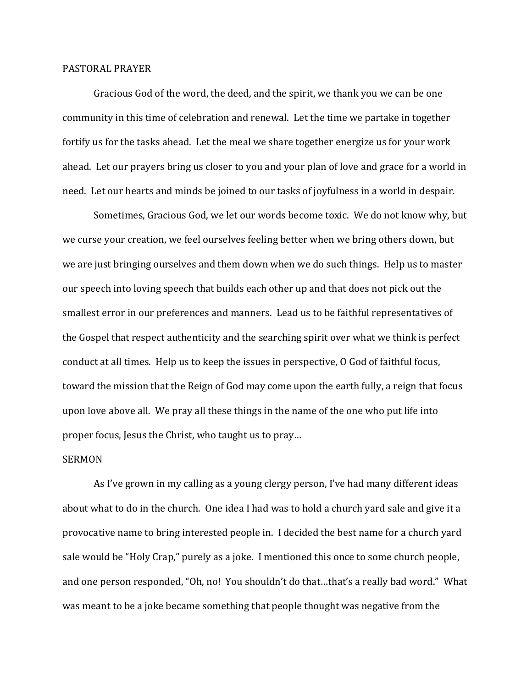## PASTORAL PRAYER

 Gracious God of the word, the deed, and the spirit, we thank you we can be one community in this time of celebration and renewal. Let the time we partake in together fortify us for the tasks ahead. Let the meal we share together energize us for your work ahead. Let our prayers bring us closer to you and your plan of love and grace for a world in need. Let our hearts and minds be joined to our tasks of joyfulness in a world in despair.

 Sometimes, Gracious God, we let our words become toxic. We do not know why, but we curse your creation, we feel ourselves feeling better when we bring others down, but we are just bringing ourselves and them down when we do such things. Help us to master our speech into loving speech that builds each other up and that does not pick out the smallest error in our preferences and manners. Lead us to be faithful representatives of the Gospel that respect authenticity and the searching spirit over what we think is perfect conduct at all times. Help us to keep the issues in perspective, O God of faithful focus, toward the mission that the Reign of God may come upon the earth fully, a reign that focus upon love above all. We pray all these things in the name of the one who put life into proper focus, Jesus the Christ, who taught us to pray…

## SERMON

 As I've grown in my calling as a young clergy person, I've had many different ideas about what to do in the church. One idea I had was to hold a church yard sale and give it a provocative name to bring interested people in. I decided the best name for a church yard sale would be "Holy Crap," purely as a joke. I mentioned this once to some church people, and one person responded, "Oh, no! You shouldn't do that…that's a really bad word." What was meant to be a joke became something that people thought was negative from the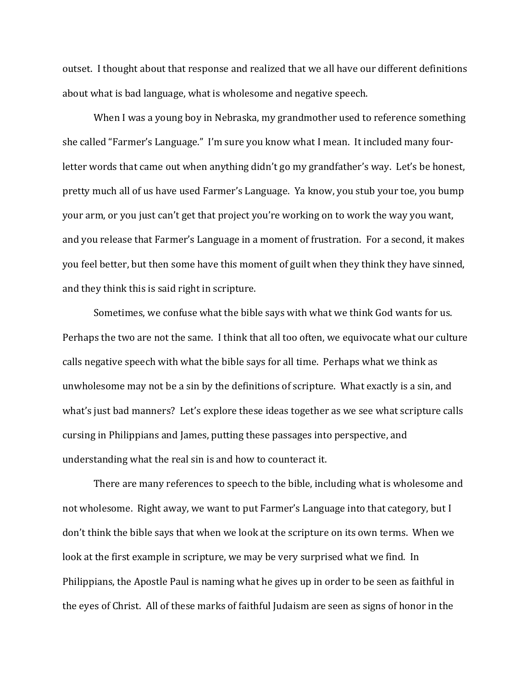outset. I thought about that response and realized that we all have our different definitions about what is bad language, what is wholesome and negative speech.

 When I was a young boy in Nebraska, my grandmother used to reference something she called "Farmer's Language." I'm sure you know what I mean. It included many fourletter words that came out when anything didn't go my grandfather's way. Let's be honest, pretty much all of us have used Farmer's Language. Ya know, you stub your toe, you bump your arm, or you just can't get that project you're working on to work the way you want, and you release that Farmer's Language in a moment of frustration. For a second, it makes you feel better, but then some have this moment of guilt when they think they have sinned, and they think this is said right in scripture.

Sometimes, we confuse what the bible says with what we think God wants for us. Perhaps the two are not the same. I think that all too often, we equivocate what our culture calls negative speech with what the bible says for all time. Perhaps what we think as unwholesome may not be a sin by the definitions of scripture. What exactly is a sin, and what's just bad manners? Let's explore these ideas together as we see what scripture calls cursing in Philippians and James, putting these passages into perspective, and understanding what the real sin is and how to counteract it.

 There are many references to speech to the bible, including what is wholesome and not wholesome. Right away, we want to put Farmer's Language into that category, but I don't think the bible says that when we look at the scripture on its own terms. When we look at the first example in scripture, we may be very surprised what we find. In Philippians, the Apostle Paul is naming what he gives up in order to be seen as faithful in the eyes of Christ. All of these marks of faithful Judaism are seen as signs of honor in the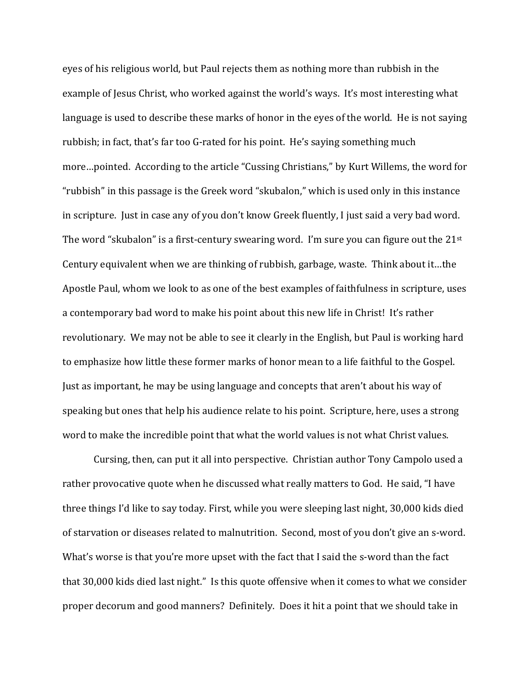eyes of his religious world, but Paul rejects them as nothing more than rubbish in the example of Jesus Christ, who worked against the world's ways. It's most interesting what language is used to describe these marks of honor in the eyes of the world. He is not saying rubbish; in fact, that's far too G-rated for his point. He's saying something much more…pointed. According to the article "Cussing Christians," by Kurt Willems, the word for "rubbish" in this passage is the Greek word "skubalon," which is used only in this instance in scripture. Just in case any of you don't know Greek fluently, I just said a very bad word. The word "skubalon" is a first-century swearing word. I'm sure you can figure out the  $21^{st}$ Century equivalent when we are thinking of rubbish, garbage, waste. Think about it…the Apostle Paul, whom we look to as one of the best examples of faithfulness in scripture, uses a contemporary bad word to make his point about this new life in Christ! It's rather revolutionary. We may not be able to see it clearly in the English, but Paul is working hard to emphasize how little these former marks of honor mean to a life faithful to the Gospel. Just as important, he may be using language and concepts that aren't about his way of speaking but ones that help his audience relate to his point. Scripture, here, uses a strong word to make the incredible point that what the world values is not what Christ values.

Cursing, then, can put it all into perspective. Christian author Tony Campolo used a rather provocative quote when he discussed what really matters to God. He said, "I have three things I'd like to say today. First, while you were sleeping last night, 30,000 kids died of starvation or diseases related to malnutrition. Second, most of you don't give an s-word. What's worse is that you're more upset with the fact that I said the s-word than the fact that 30,000 kids died last night." Is this quote offensive when it comes to what we consider proper decorum and good manners? Definitely. Does it hit a point that we should take in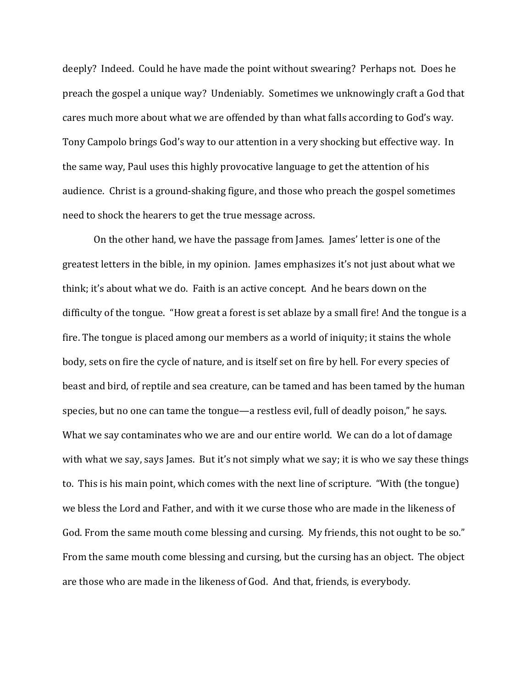deeply? Indeed. Could he have made the point without swearing? Perhaps not. Does he preach the gospel a unique way? Undeniably. Sometimes we unknowingly craft a God that cares much more about what we are offended by than what falls according to God's way. Tony Campolo brings God's way to our attention in a very shocking but effective way. In the same way, Paul uses this highly provocative language to get the attention of his audience. Christ is a ground-shaking figure, and those who preach the gospel sometimes need to shock the hearers to get the true message across.

 On the other hand, we have the passage from James. James' letter is one of the greatest letters in the bible, in my opinion. James emphasizes it's not just about what we think; it's about what we do. Faith is an active concept. And he bears down on the difficulty of the tongue. "How great a forest is set ablaze by a small fire! And the tongue is a fire. The tongue is placed among our members as a world of iniquity; it stains the whole body, sets on fire the cycle of nature, and is itself set on fire by hell. For every species of beast and bird, of reptile and sea creature, can be tamed and has been tamed by the human species, but no one can tame the tongue—a restless evil, full of deadly poison," he says. What we say contaminates who we are and our entire world. We can do a lot of damage with what we say, says James. But it's not simply what we say; it is who we say these things to. This is his main point, which comes with the next line of scripture. "With (the tongue) we bless the Lord and Father, and with it we curse those who are made in the likeness of God. From the same mouth come blessing and cursing. My friends, this not ought to be so." From the same mouth come blessing and cursing, but the cursing has an object. The object are those who are made in the likeness of God. And that, friends, is everybody.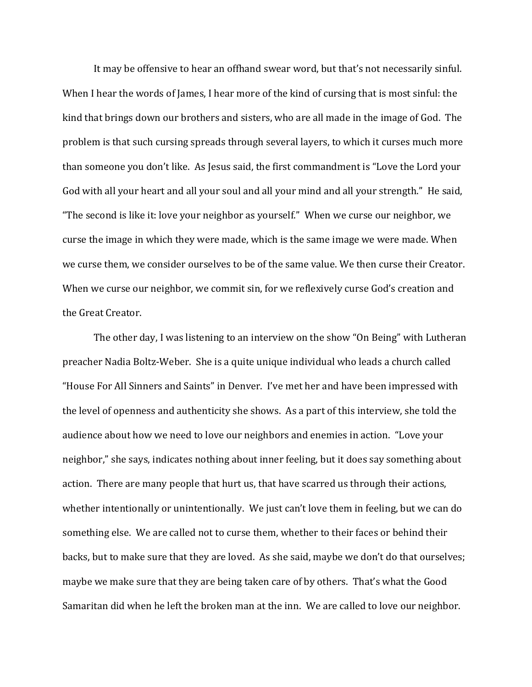It may be offensive to hear an offhand swear word, but that's not necessarily sinful. When I hear the words of James, I hear more of the kind of cursing that is most sinful: the kind that brings down our brothers and sisters, who are all made in the image of God. The problem is that such cursing spreads through several layers, to which it curses much more than someone you don't like. As Jesus said, the first commandment is "Love the Lord your God with all your heart and all your soul and all your mind and all your strength." He said, "The second is like it: love your neighbor as yourself." When we curse our neighbor, we curse the image in which they were made, which is the same image we were made. When we curse them, we consider ourselves to be of the same value. We then curse their Creator. When we curse our neighbor, we commit sin, for we reflexively curse God's creation and the Great Creator.

 The other day, I was listening to an interview on the show "On Being" with Lutheran preacher Nadia Boltz-Weber. She is a quite unique individual who leads a church called "House For All Sinners and Saints" in Denver. I've met her and have been impressed with the level of openness and authenticity she shows. As a part of this interview, she told the audience about how we need to love our neighbors and enemies in action. "Love your neighbor," she says, indicates nothing about inner feeling, but it does say something about action. There are many people that hurt us, that have scarred us through their actions, whether intentionally or unintentionally. We just can't love them in feeling, but we can do something else. We are called not to curse them, whether to their faces or behind their backs, but to make sure that they are loved. As she said, maybe we don't do that ourselves; maybe we make sure that they are being taken care of by others. That's what the Good Samaritan did when he left the broken man at the inn. We are called to love our neighbor.